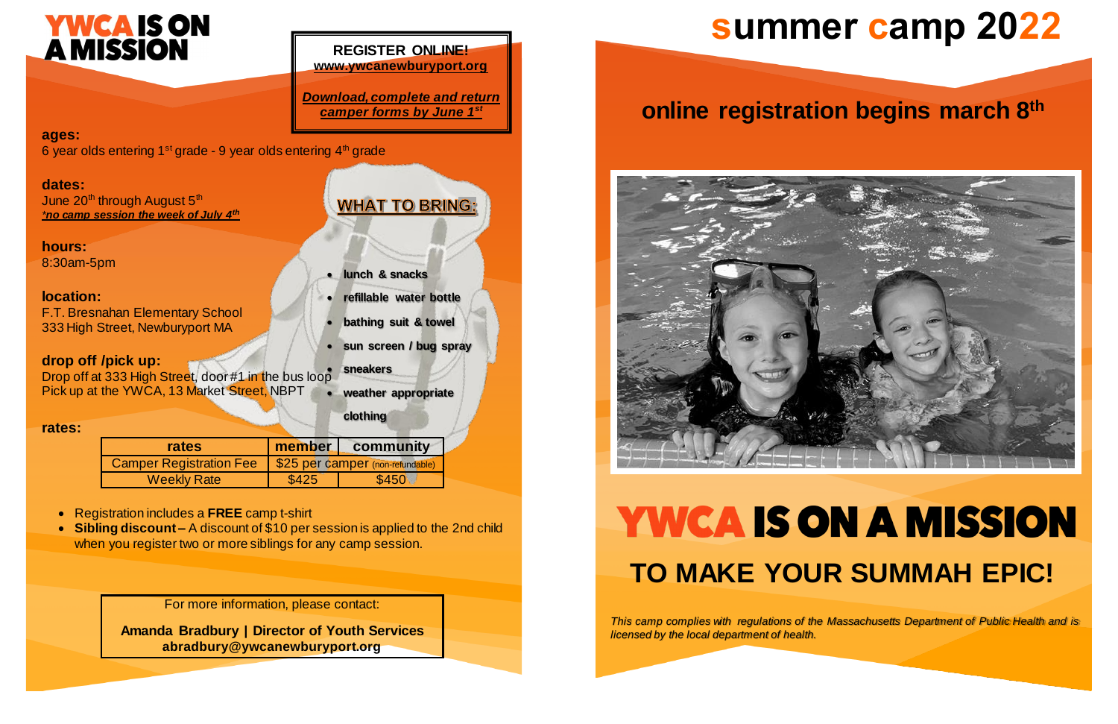## **summer camp 2022**

For more information, please contact:

**Amanda Bradbury** | **Director of Youth Services abradbury@ywcanewburyport.org**

#### **ages:**

6 year olds entering  $1<sup>st</sup>$  grade - 9 year olds entering  $4<sup>th</sup>$  grade

June  $20<sup>th</sup>$  through August  $5<sup>th</sup>$ *\*no camp session the week of July 4th*

#### **dates:**

**hours:** 

8:30am-5pm

- Registration includes a **FREE** camp t-shirt
- **Sibling discount –** A discount of \$10 per sessionis applied to the 2nd child when you register two or more siblings for any camp session.

#### **location:**

F.T. Bresnahan Elementary School 333 High Street, Newburyport MA

#### **drop off /pick up:**

Drop off at 333 High Street, door#1 in the bus loop Pick up at the YWCA, 13 Market Street, NBPT

## **YWCA IS ON A MISSION TO MAKE YOUR SUMMAH EPIC!**

#### **rates:**

| rates              | member                                                     | community |
|--------------------|------------------------------------------------------------|-----------|
|                    | Camper Registration Fee   \$25 per camper (non-refundable) |           |
| <b>Weekly Rate</b> | \$425                                                      | \$450     |

## **online registration begins march 8 th**



# **YWCA IS ON<br>A MISSION**

#### **REGISTER ONLINE! www.ywcanewburyport.org**

*Download, complete and return camper forms by June 1st*

**WHAT TO BRING:** 

**lunch & snacks**

**refillable water bottle**

**bathing suit & towel**

**sun screen / bug spray**

- **sneakers**
- **weather appropriate**

**clothing**

*This camp complies with regulations of the Massachusetts Department of Public Health and is licensed by the local department of health.*